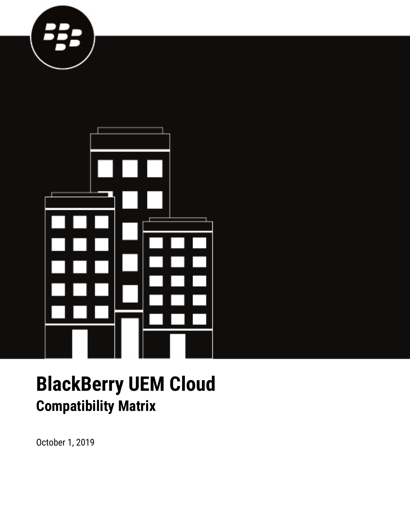



# **BlackBerry UEM Cloud Compatibility Matrix**

October 1, 2019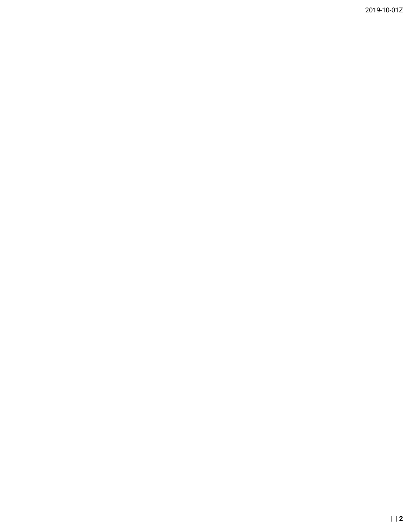2019-10-01Z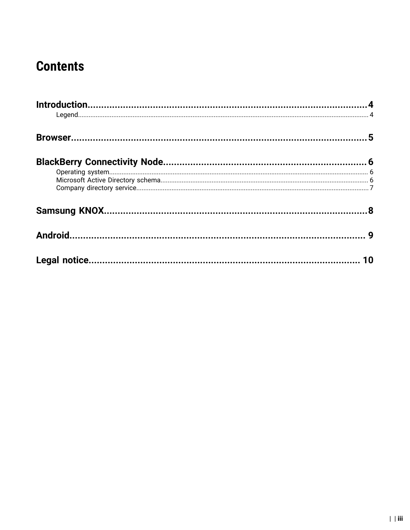### **Contents**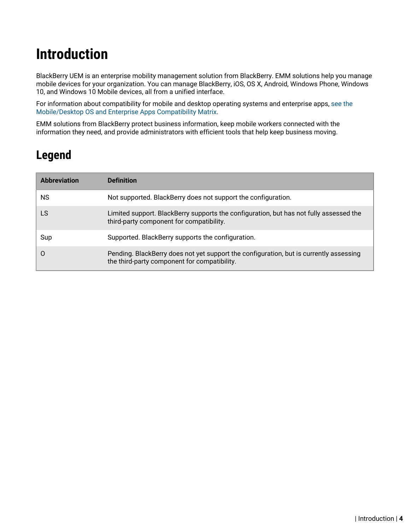# <span id="page-3-0"></span>**Introduction**

BlackBerry UEM is an enterprise mobility management solution from BlackBerry. EMM solutions help you manage mobile devices for your organization. You can manage BlackBerry, iOS, OS X, Android, Windows Phone, Windows 10, and Windows 10 Mobile devices, all from a unified interface.

For information about compatibility for mobile and desktop operating systems and enterprise apps, [see the](https://docs.blackberry.com/en/endpoint-management/compatibility-matrix/mobile-os-matrix/) [Mobile/Desktop OS and Enterprise Apps Compatibility Matrix.](https://docs.blackberry.com/en/endpoint-management/compatibility-matrix/mobile-os-matrix/)

EMM solutions from BlackBerry protect business information, keep mobile workers connected with the information they need, and provide administrators with efficient tools that help keep business moving.

#### <span id="page-3-1"></span>**Legend**

| <b>Abbreviation</b> | <b>Definition</b>                                                                                                                      |
|---------------------|----------------------------------------------------------------------------------------------------------------------------------------|
| NS.                 | Not supported. BlackBerry does not support the configuration.                                                                          |
| LS.                 | Limited support. BlackBerry supports the configuration, but has not fully assessed the<br>third-party component for compatibility.     |
| Sup                 | Supported. BlackBerry supports the configuration.                                                                                      |
|                     | Pending. BlackBerry does not yet support the configuration, but is currently assessing<br>the third-party component for compatibility. |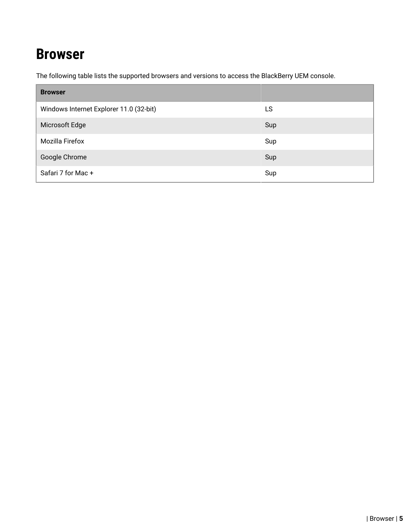## <span id="page-4-0"></span>**Browser**

The following table lists the supported browsers and versions to access the BlackBerry UEM console.

| <b>Browser</b>                          |     |
|-----------------------------------------|-----|
| Windows Internet Explorer 11.0 (32-bit) | LS  |
| Microsoft Edge                          | Sup |
| Mozilla Firefox                         | Sup |
| Google Chrome                           | Sup |
| Safari 7 for Mac +                      | Sup |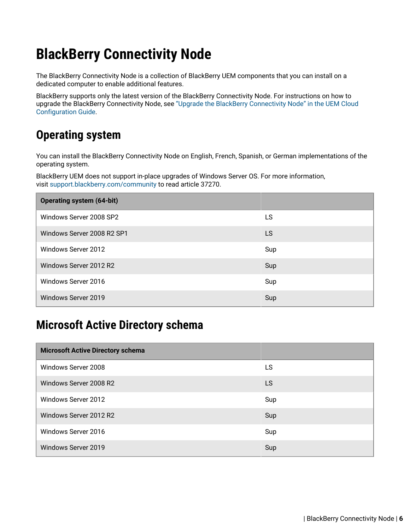# <span id="page-5-0"></span>**BlackBerry Connectivity Node**

The BlackBerry Connectivity Node is a collection of BlackBerry UEM components that you can install on a dedicated computer to enable additional features.

BlackBerry supports only the latest version of the BlackBerry Connectivity Node. For instructions on how to upgrade the BlackBerry Connectivity Node, see ["Upgrade the BlackBerry Connectivity Node" in the UEM Cloud](https://docs.blackberry.com/en/endpoint-management/blackberry-uem-cloud/latest/architecture-configuration/configuration/car1421424562148/mca1449692803726/car1442947823468) [Configuration Guide.](https://docs.blackberry.com/en/endpoint-management/blackberry-uem-cloud/latest/architecture-configuration/configuration/car1421424562148/mca1449692803726/car1442947823468)

#### <span id="page-5-1"></span>**Operating system**

You can install the BlackBerry Connectivity Node on English, French, Spanish, or German implementations of the operating system.

BlackBerry UEM does not support in-place upgrades of Windows Server OS. For more information, visit [support.blackberry.com/community](https://support.blackberry.com/community/s/article/37270) to read article 37270.

| <b>Operating system (64-bit)</b> |     |
|----------------------------------|-----|
| Windows Server 2008 SP2          | LS. |
| Windows Server 2008 R2 SP1       | LS. |
| Windows Server 2012              | Sup |
| Windows Server 2012 R2           | Sup |
| Windows Server 2016              | Sup |
| Windows Server 2019              | Sup |

#### <span id="page-5-2"></span>**Microsoft Active Directory schema**

| <b>Microsoft Active Directory schema</b> |     |
|------------------------------------------|-----|
| Windows Server 2008                      | LS. |
| Windows Server 2008 R2                   | LS  |
| Windows Server 2012                      | Sup |
| Windows Server 2012 R2                   | Sup |
| Windows Server 2016                      | Sup |
| Windows Server 2019                      | Sup |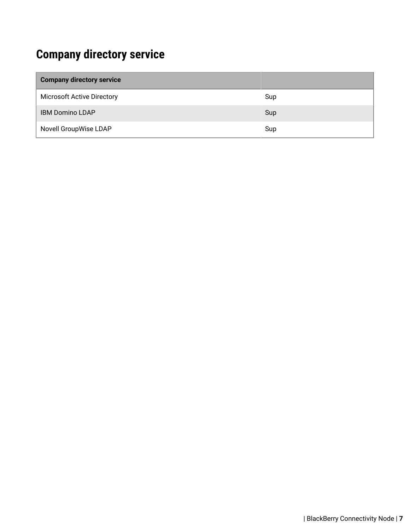## <span id="page-6-0"></span>**Company directory service**

| <b>Company directory service</b>  |     |
|-----------------------------------|-----|
| <b>Microsoft Active Directory</b> | Sup |
| <b>IBM Domino LDAP</b>            | Sup |
| Novell GroupWise LDAP             | Sup |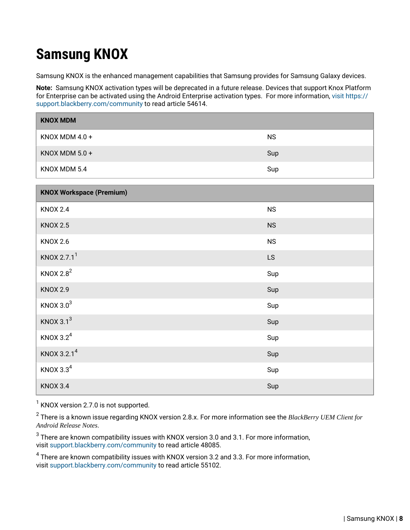# <span id="page-7-0"></span>**Samsung KNOX**

Samsung KNOX is the enhanced management capabilities that Samsung provides for Samsung Galaxy devices.

**Note:** Samsung KNOX activation types will be deprecated in a future release. Devices that support Knox Platform for Enterprise can be activated using the Android Enterprise activation types. For more information, [visit https://](https://support.blackberry.com/community/s/article/54614) [support.blackberry.com/community](https://support.blackberry.com/community/s/article/54614) to read article 54614.

| <b>KNOX MDM</b>  |           |
|------------------|-----------|
| KNOX MDM $4.0 +$ | <b>NS</b> |
| KNOX MDM $5.0 +$ | Sup       |
| KNOX MDM 5.4     | Sup       |

| <b>KNOX Workspace (Premium)</b> |           |
|---------------------------------|-----------|
| <b>KNOX 2.4</b>                 | <b>NS</b> |
| <b>KNOX 2.5</b>                 | <b>NS</b> |
| <b>KNOX 2.6</b>                 | <b>NS</b> |
| KNOX 2.7.1 <sup>1</sup>         | <b>LS</b> |
| KNOX $2.8^2$                    | Sup       |
| <b>KNOX 2.9</b>                 | Sup       |
| KNOX $3.0^3$                    | Sup       |
| KNOX $3.1^3$                    | Sup       |
| KNOX $3.2^4$                    | Sup       |
| KNOX 3.2.1 <sup>4</sup>         | Sup       |
| KNOX $3.34$                     | Sup       |
| <b>KNOX 3.4</b>                 | Sup       |

 $1$  KNOX version 2.7.0 is not supported.

2 There is a known issue regarding KNOX version 2.8.x. For more information see the *BlackBerry UEM Client for Android Release Notes*.

 $^3$  There are known compatibility issues with KNOX version 3.0 and 3.1. For more information, visit [support.blackberry.com/community](https://support.blackberry.com/community/s/article/48085) to read article 48085.

 $^{\rm 4}$  There are known compatibility issues with KNOX version 3.2 and 3.3. For more information, visit [support.blackberry.com/community](https://support.blackberry.com/community/s/article/55102) to read article 55102.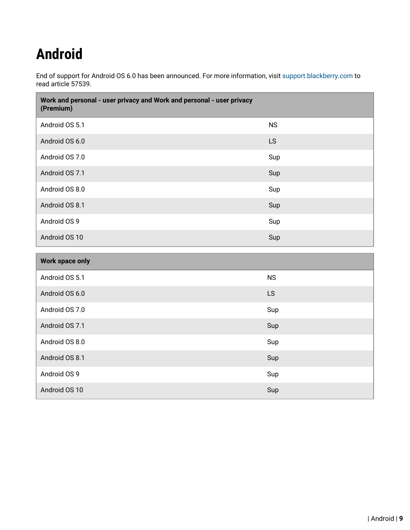# <span id="page-8-0"></span>**Android**

End of support for Android OS 6.0 has been announced. For more information, visit [support.blackberry.com](https://support.blackberry.com/community/s/article/57539) to read article 57539.

| Work and personal - user privacy and Work and personal - user privacy<br>(Premium) |           |
|------------------------------------------------------------------------------------|-----------|
| Android OS 5.1                                                                     | <b>NS</b> |
| Android OS 6.0                                                                     | LS        |
| Android OS 7.0                                                                     | Sup       |
| Android OS 7.1                                                                     | Sup       |
| Android OS 8.0                                                                     | Sup       |
| Android OS 8.1                                                                     | Sup       |
| Android OS 9                                                                       | Sup       |
| Android OS 10                                                                      | Sup       |
| Work space only                                                                    |           |
| Android OS 5.1                                                                     | <b>NS</b> |
| Android OS 6.0                                                                     | <b>LS</b> |
| Android OS 7.0                                                                     | Sup       |
| Android OS 7.1                                                                     | Sup       |
| Android OS 8.0                                                                     | Sup       |
| Android OS 8.1                                                                     | Sup       |
| Android OS 9                                                                       | Sup       |

Android OS 10 Support of the Contract of the Contract of the Contract of the Contract of the Contract of the Contract of the Contract of the Contract of the Contract of the Contract of the Contract of the Contract of the C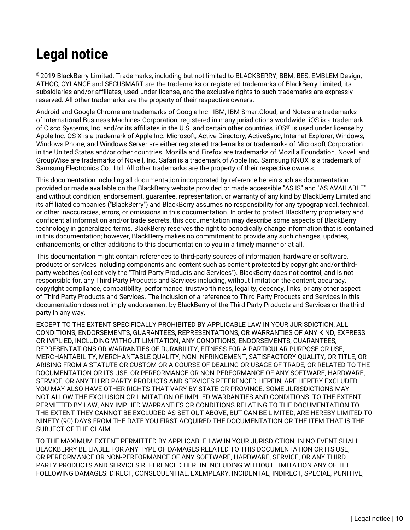# <span id="page-9-0"></span>**Legal notice**

©2019 BlackBerry Limited. Trademarks, including but not limited to BLACKBERRY, BBM, BES, EMBLEM Design, ATHOC, CYLANCE and SECUSMART are the trademarks or registered trademarks of BlackBerry Limited, its subsidiaries and/or affiliates, used under license, and the exclusive rights to such trademarks are expressly reserved. All other trademarks are the property of their respective owners.

Android and Google Chrome are trademarks of Google Inc. IBM, IBM SmartCloud, and Notes are trademarks of International Business Machines Corporation, registered in many jurisdictions worldwide. iOS is a trademark of Cisco Systems, Inc. and/or its affiliates in the U.S. and certain other countries. iOS® is used under license by Apple Inc. OS X is a trademark of Apple Inc. Microsoft, Active Directory, ActiveSync, Internet Explorer, Windows, Windows Phone, and Windows Server are either registered trademarks or trademarks of Microsoft Corporation in the United States and/or other countries. Mozilla and Firefox are trademarks of Mozilla Foundation. Novell and GroupWise are trademarks of Novell, Inc. Safari is a trademark of Apple Inc. Samsung KNOX is a trademark of Samsung Electronics Co., Ltd. All other trademarks are the property of their respective owners.

This documentation including all documentation incorporated by reference herein such as documentation provided or made available on the BlackBerry website provided or made accessible "AS IS" and "AS AVAILABLE" and without condition, endorsement, guarantee, representation, or warranty of any kind by BlackBerry Limited and its affiliated companies ("BlackBerry") and BlackBerry assumes no responsibility for any typographical, technical, or other inaccuracies, errors, or omissions in this documentation. In order to protect BlackBerry proprietary and confidential information and/or trade secrets, this documentation may describe some aspects of BlackBerry technology in generalized terms. BlackBerry reserves the right to periodically change information that is contained in this documentation; however, BlackBerry makes no commitment to provide any such changes, updates, enhancements, or other additions to this documentation to you in a timely manner or at all.

This documentation might contain references to third-party sources of information, hardware or software, products or services including components and content such as content protected by copyright and/or thirdparty websites (collectively the "Third Party Products and Services"). BlackBerry does not control, and is not responsible for, any Third Party Products and Services including, without limitation the content, accuracy, copyright compliance, compatibility, performance, trustworthiness, legality, decency, links, or any other aspect of Third Party Products and Services. The inclusion of a reference to Third Party Products and Services in this documentation does not imply endorsement by BlackBerry of the Third Party Products and Services or the third party in any way.

EXCEPT TO THE EXTENT SPECIFICALLY PROHIBITED BY APPLICABLE LAW IN YOUR JURISDICTION, ALL CONDITIONS, ENDORSEMENTS, GUARANTEES, REPRESENTATIONS, OR WARRANTIES OF ANY KIND, EXPRESS OR IMPLIED, INCLUDING WITHOUT LIMITATION, ANY CONDITIONS, ENDORSEMENTS, GUARANTEES, REPRESENTATIONS OR WARRANTIES OF DURABILITY, FITNESS FOR A PARTICULAR PURPOSE OR USE, MERCHANTABILITY, MERCHANTABLE QUALITY, NON-INFRINGEMENT, SATISFACTORY QUALITY, OR TITLE, OR ARISING FROM A STATUTE OR CUSTOM OR A COURSE OF DEALING OR USAGE OF TRADE, OR RELATED TO THE DOCUMENTATION OR ITS USE, OR PERFORMANCE OR NON-PERFORMANCE OF ANY SOFTWARE, HARDWARE, SERVICE, OR ANY THIRD PARTY PRODUCTS AND SERVICES REFERENCED HEREIN, ARE HEREBY EXCLUDED. YOU MAY ALSO HAVE OTHER RIGHTS THAT VARY BY STATE OR PROVINCE. SOME JURISDICTIONS MAY NOT ALLOW THE EXCLUSION OR LIMITATION OF IMPLIED WARRANTIES AND CONDITIONS. TO THE EXTENT PERMITTED BY LAW, ANY IMPLIED WARRANTIES OR CONDITIONS RELATING TO THE DOCUMENTATION TO THE EXTENT THEY CANNOT BE EXCLUDED AS SET OUT ABOVE, BUT CAN BE LIMITED, ARE HEREBY LIMITED TO NINETY (90) DAYS FROM THE DATE YOU FIRST ACQUIRED THE DOCUMENTATION OR THE ITEM THAT IS THE SUBJECT OF THE CLAIM.

TO THE MAXIMUM EXTENT PERMITTED BY APPLICABLE LAW IN YOUR JURISDICTION, IN NO EVENT SHALL BLACKBERRY BE LIABLE FOR ANY TYPE OF DAMAGES RELATED TO THIS DOCUMENTATION OR ITS USE, OR PERFORMANCE OR NON-PERFORMANCE OF ANY SOFTWARE, HARDWARE, SERVICE, OR ANY THIRD PARTY PRODUCTS AND SERVICES REFERENCED HEREIN INCLUDING WITHOUT LIMITATION ANY OF THE FOLLOWING DAMAGES: DIRECT, CONSEQUENTIAL, EXEMPLARY, INCIDENTAL, INDIRECT, SPECIAL, PUNITIVE,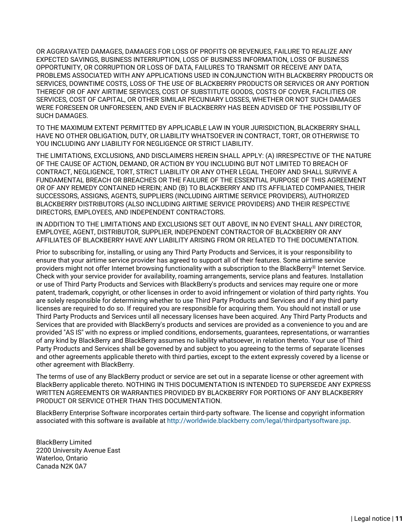OR AGGRAVATED DAMAGES, DAMAGES FOR LOSS OF PROFITS OR REVENUES, FAILURE TO REALIZE ANY EXPECTED SAVINGS, BUSINESS INTERRUPTION, LOSS OF BUSINESS INFORMATION, LOSS OF BUSINESS OPPORTUNITY, OR CORRUPTION OR LOSS OF DATA, FAILURES TO TRANSMIT OR RECEIVE ANY DATA, PROBLEMS ASSOCIATED WITH ANY APPLICATIONS USED IN CONJUNCTION WITH BLACKBERRY PRODUCTS OR SERVICES, DOWNTIME COSTS, LOSS OF THE USE OF BLACKBERRY PRODUCTS OR SERVICES OR ANY PORTION THEREOF OR OF ANY AIRTIME SERVICES, COST OF SUBSTITUTE GOODS, COSTS OF COVER, FACILITIES OR SERVICES, COST OF CAPITAL, OR OTHER SIMILAR PECUNIARY LOSSES, WHETHER OR NOT SUCH DAMAGES WERE FORESEEN OR UNFORESEEN, AND EVEN IF BLACKBERRY HAS BEEN ADVISED OF THE POSSIBILITY OF SUCH DAMAGES.

TO THE MAXIMUM EXTENT PERMITTED BY APPLICABLE LAW IN YOUR JURISDICTION, BLACKBERRY SHALL HAVE NO OTHER OBLIGATION, DUTY, OR LIABILITY WHATSOEVER IN CONTRACT, TORT, OR OTHERWISE TO YOU INCLUDING ANY LIABILITY FOR NEGLIGENCE OR STRICT LIABILITY.

THE LIMITATIONS, EXCLUSIONS, AND DISCLAIMERS HEREIN SHALL APPLY: (A) IRRESPECTIVE OF THE NATURE OF THE CAUSE OF ACTION, DEMAND, OR ACTION BY YOU INCLUDING BUT NOT LIMITED TO BREACH OF CONTRACT, NEGLIGENCE, TORT, STRICT LIABILITY OR ANY OTHER LEGAL THEORY AND SHALL SURVIVE A FUNDAMENTAL BREACH OR BREACHES OR THE FAILURE OF THE ESSENTIAL PURPOSE OF THIS AGREEMENT OR OF ANY REMEDY CONTAINED HEREIN; AND (B) TO BLACKBERRY AND ITS AFFILIATED COMPANIES, THEIR SUCCESSORS, ASSIGNS, AGENTS, SUPPLIERS (INCLUDING AIRTIME SERVICE PROVIDERS), AUTHORIZED BLACKBERRY DISTRIBUTORS (ALSO INCLUDING AIRTIME SERVICE PROVIDERS) AND THEIR RESPECTIVE DIRECTORS, EMPLOYEES, AND INDEPENDENT CONTRACTORS.

IN ADDITION TO THE LIMITATIONS AND EXCLUSIONS SET OUT ABOVE, IN NO EVENT SHALL ANY DIRECTOR, EMPLOYEE, AGENT, DISTRIBUTOR, SUPPLIER, INDEPENDENT CONTRACTOR OF BLACKBERRY OR ANY AFFILIATES OF BLACKBERRY HAVE ANY LIABILITY ARISING FROM OR RELATED TO THE DOCUMENTATION.

Prior to subscribing for, installing, or using any Third Party Products and Services, it is your responsibility to ensure that your airtime service provider has agreed to support all of their features. Some airtime service providers might not offer Internet browsing functionality with a subscription to the BlackBerry® Internet Service. Check with your service provider for availability, roaming arrangements, service plans and features. Installation or use of Third Party Products and Services with BlackBerry's products and services may require one or more patent, trademark, copyright, or other licenses in order to avoid infringement or violation of third party rights. You are solely responsible for determining whether to use Third Party Products and Services and if any third party licenses are required to do so. If required you are responsible for acquiring them. You should not install or use Third Party Products and Services until all necessary licenses have been acquired. Any Third Party Products and Services that are provided with BlackBerry's products and services are provided as a convenience to you and are provided "AS IS" with no express or implied conditions, endorsements, guarantees, representations, or warranties of any kind by BlackBerry and BlackBerry assumes no liability whatsoever, in relation thereto. Your use of Third Party Products and Services shall be governed by and subject to you agreeing to the terms of separate licenses and other agreements applicable thereto with third parties, except to the extent expressly covered by a license or other agreement with BlackBerry.

The terms of use of any BlackBerry product or service are set out in a separate license or other agreement with BlackBerry applicable thereto. NOTHING IN THIS DOCUMENTATION IS INTENDED TO SUPERSEDE ANY EXPRESS WRITTEN AGREEMENTS OR WARRANTIES PROVIDED BY BLACKBERRY FOR PORTIONS OF ANY BLACKBERRY PRODUCT OR SERVICE OTHER THAN THIS DOCUMENTATION.

BlackBerry Enterprise Software incorporates certain third-party software. The license and copyright information associated with this software is available at [http://worldwide.blackberry.com/legal/thirdpartysoftware.jsp.](http://worldwide.blackberry.com/legal/thirdpartysoftware.jsp)

BlackBerry Limited 2200 University Avenue East Waterloo, Ontario Canada N2K 0A7